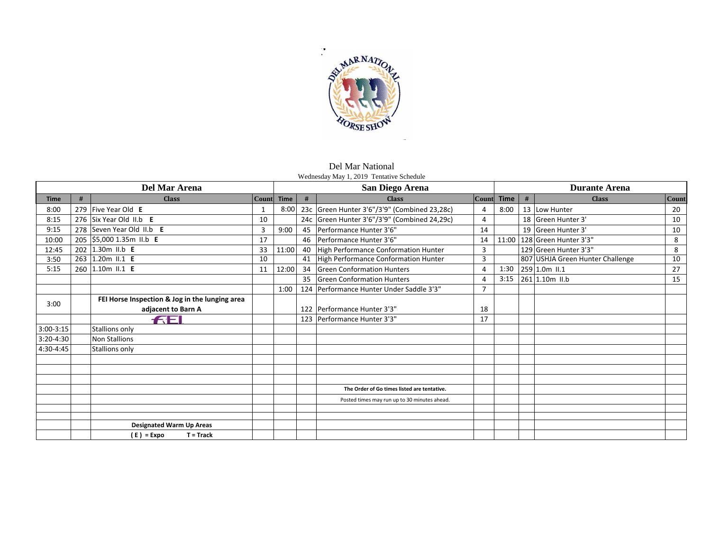

Del Mar National Wednesday May 1, 2019 Tentative Schedule

| Del Mar Arena |   |                                                |                | San Diego Arena |    |                                              | <b>Durante Arena</b> |            |   |                                  |              |
|---------------|---|------------------------------------------------|----------------|-----------------|----|----------------------------------------------|----------------------|------------|---|----------------------------------|--------------|
| <b>Time</b>   | # | <b>Class</b>                                   |                | Count Time      | #  | <b>Class</b>                                 |                      | Count Time | # | <b>Class</b>                     | <b>Count</b> |
| 8:00          |   | 279 Five Year Old E                            | 1              | 8:00            |    | 23c Green Hunter 3'6"/3'9" (Combined 23,28c) | 4                    | 8:00       |   | 13 Low Hunter                    | 20           |
| 8:15          |   | 276 Six Year Old II.b E                        | 10             |                 |    | 24c Green Hunter 3'6"/3'9" (Combined 24,29c) | 4                    |            |   | 18 Green Hunter 3'               | 10           |
| 9:15          |   | 278 Seven Year Old II.b E                      | $\overline{3}$ | 9:00            | 45 | Performance Hunter 3'6"                      | 14                   |            |   | 19 Green Hunter 3'               | 10           |
| 10:00         |   | 205 \$5,000 1.35m II.b E                       | 17             |                 | 46 | Performance Hunter 3'6"                      | 14                   |            |   | 11:00   128   Green Hunter 3'3"  | 8            |
| 12:45         |   | 202 1.30m II.b E                               | 33             | 11:00           | 40 | High Performance Conformation Hunter         | 3                    |            |   | 129 Green Hunter 3'3"            | 8            |
| 3:50          |   | 263 1.20m II.1 E                               | 10             |                 | 41 | High Performance Conformation Hunter         | 3                    |            |   | 807 USHJA Green Hunter Challenge | 10           |
| 5:15          |   | 260 1.10m II.1 E                               | 11             | 12:00           | 34 | <b>Green Conformation Hunters</b>            | 4                    | 1:30       |   | 259 1.0m II.1                    | 27           |
|               |   |                                                |                |                 | 35 | <b>Green Conformation Hunters</b>            | 4                    | 3:15       |   | 261 1.10m II.b                   | 15           |
|               |   |                                                |                | 1:00            |    | 124 Performance Hunter Under Saddle 3'3"     |                      |            |   |                                  |              |
|               |   | FEI Horse Inspection & Jog in the lunging area |                |                 |    |                                              |                      |            |   |                                  |              |
| 3:00          |   | adjacent to Barn A                             |                |                 |    | 122 Performance Hunter 3'3"                  | 18                   |            |   |                                  |              |
|               |   | FEI                                            |                |                 |    | 123 Performance Hunter 3'3"                  | 17                   |            |   |                                  |              |
| $3:00-3:15$   |   | Stallions only                                 |                |                 |    |                                              |                      |            |   |                                  |              |
| $3:20 - 4:30$ |   | <b>Non Stallions</b>                           |                |                 |    |                                              |                      |            |   |                                  |              |
| 4:30-4:45     |   | Stallions only                                 |                |                 |    |                                              |                      |            |   |                                  |              |
|               |   |                                                |                |                 |    |                                              |                      |            |   |                                  |              |
|               |   |                                                |                |                 |    |                                              |                      |            |   |                                  |              |
|               |   |                                                |                |                 |    |                                              |                      |            |   |                                  |              |
|               |   |                                                |                |                 |    | The Order of Go times listed are tentative.  |                      |            |   |                                  |              |
|               |   |                                                |                |                 |    | Posted times may run up to 30 minutes ahead. |                      |            |   |                                  |              |
|               |   |                                                |                |                 |    |                                              |                      |            |   |                                  |              |
|               |   |                                                |                |                 |    |                                              |                      |            |   |                                  |              |
|               |   | <b>Designated Warm Up Areas</b>                |                |                 |    |                                              |                      |            |   |                                  |              |
|               |   | (E) = Expo<br>$T = Track$                      |                |                 |    |                                              |                      |            |   |                                  |              |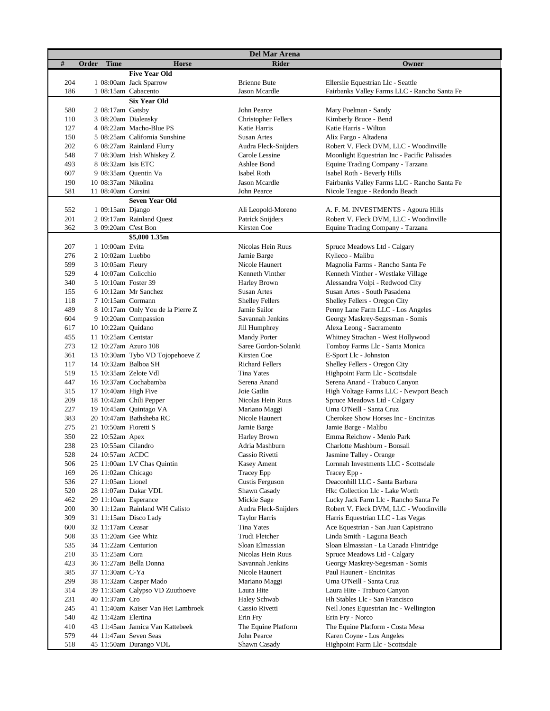| <b>Del Mar Arena</b> |                       |                                    |                                      |                                                      |  |  |
|----------------------|-----------------------|------------------------------------|--------------------------------------|------------------------------------------------------|--|--|
| #                    | <b>Time</b><br>Order  | <b>Horse</b>                       | <b>Rider</b>                         | Owner                                                |  |  |
|                      |                       | <b>Five Year Old</b>               |                                      |                                                      |  |  |
| 204                  |                       | 1 08:00am Jack Sparrow             | <b>Brienne Bute</b>                  | Ellerslie Equestrian Llc - Seattle                   |  |  |
| 186                  |                       | 1 08:15am Cabacento                | Jason Mcardle                        | Fairbanks Valley Farms LLC - Rancho Santa Fe         |  |  |
|                      |                       | <b>Six Year Old</b>                |                                      |                                                      |  |  |
| 580                  | 2 08:17am Gatsby      |                                    | John Pearce                          | Mary Poelman - Sandy                                 |  |  |
| 110                  |                       | 3 08:20am Dialensky                | <b>Christopher Fellers</b>           | Kimberly Bruce - Bend                                |  |  |
| 127                  |                       | 4 08:22am Macho-Blue PS            | Katie Harris                         | Katie Harris - Wilton                                |  |  |
| 150                  |                       | 5 08:25am California Sunshine      | Susan Artes                          | Alix Fargo - Altadena                                |  |  |
| 202                  |                       | 6 08:27am Rainland Flurry          | Audra Fleck-Snijders                 | Robert V. Fleck DVM, LLC - Woodinville               |  |  |
| 548                  |                       | 7 08:30am Irish Whiskey Z          | Carole Lessine                       | Moonlight Equestrian Inc - Pacific Palisades         |  |  |
| 493                  | 8 08:32am Isis ETC    |                                    | Ashlee Bond                          | Equine Trading Company - Tarzana                     |  |  |
| 607                  |                       | 9 08:35am Quentin Va               | Isabel Roth                          | Isabel Roth - Beverly Hills                          |  |  |
| 190                  | 10 08:37am Nikolina   |                                    | Jason Mcardle                        | Fairbanks Valley Farms LLC - Rancho Santa Fe         |  |  |
| 581                  | 11 08:40am Corsini    |                                    | John Pearce                          | Nicole Teague - Redondo Beach                        |  |  |
|                      |                       | <b>Seven Year Old</b>              |                                      |                                                      |  |  |
| 552                  | 1 09:15am Django      |                                    | Ali Leopold-Moreno                   | A. F. M. INVESTMENTS - Agoura Hills                  |  |  |
| 201                  |                       | 2 09:17am Rainland Quest           | Patrick Snijders                     | Robert V. Fleck DVM, LLC - Woodinville               |  |  |
| 362                  | 3 09:20am C'est Bon   |                                    | Kirsten Coe                          | Equine Trading Company - Tarzana                     |  |  |
|                      |                       | \$5,000 1.35m                      |                                      |                                                      |  |  |
| 207                  | 1 10:00am Evita       |                                    | Nicolas Hein Ruus                    | Spruce Meadows Ltd - Calgary                         |  |  |
| 276                  | 2 10:02am Luebbo      |                                    | Jamie Barge                          | Kylieco - Malibu                                     |  |  |
| 599                  | 3 10:05am Fleury      |                                    | Nicole Haunert                       | Magnolia Farms - Rancho Santa Fe                     |  |  |
| 529                  | 4 10:07am Colicchio   |                                    | Kenneth Vinther                      | Kenneth Vinther - Westlake Village                   |  |  |
| 340                  | 5 10:10am Foster 39   |                                    | Harley Brown                         | Alessandra Volpi - Redwood City                      |  |  |
| 155                  |                       | 6 10:12am Mr Sanchez               | Susan Artes                          | Susan Artes - South Pasadena                         |  |  |
| 118                  | 7 10:15am Cormann     |                                    | <b>Shelley Fellers</b>               | Shelley Fellers - Oregon City                        |  |  |
| 489                  |                       | 8 10:17am Only You de la Pierre Z  | Jamie Sailor                         | Penny Lane Farm LLC - Los Angeles                    |  |  |
| 604                  |                       | 9 10:20am Compassion               | Savannah Jenkins                     | Georgy Maskrey-Segesman - Somis                      |  |  |
| 617                  | 10 10:22am Quidano    |                                    | Jill Humphrey                        | Alexa Leong - Sacramento                             |  |  |
| 455                  | 11 10:25am Centstar   |                                    | <b>Mandy Porter</b>                  | Whitney Strachan - West Hollywood                    |  |  |
| 273                  | 12 10:27am Azuro 108  |                                    | Saree Gordon-Solanki                 | Tomboy Farms Llc - Santa Monica                      |  |  |
| 361                  |                       | 13 10:30am Tybo VD Tojopehoeve Z   | Kirsten Coe                          | E-Sport Llc - Johnston                               |  |  |
| 117                  | 14 10:32am Balboa SH  |                                    | <b>Richard Fellers</b>               | Shelley Fellers - Oregon City                        |  |  |
| 519                  | 15 10:35am Zelote Vdl |                                    | Tina Yates                           | Highpoint Farm Llc - Scottsdale                      |  |  |
| 447                  |                       | 16 10:37am Cochabamba              | Serena Anand                         | Serena Anand - Trabuco Canyon                        |  |  |
| 315                  | 17 10:40am High Five  |                                    | Joie Gatlin                          | High Voltage Farms LLC - Newport Beach               |  |  |
| 209                  |                       | 18 10:42am Chili Pepper            | Nicolas Hein Ruus                    | Spruce Meadows Ltd - Calgary                         |  |  |
| 227                  |                       | 19 10:45am Quintago VA             | Mariano Maggi                        | Uma O'Neill - Santa Cruz                             |  |  |
| 383                  |                       | 20 10:47am Bathsheba RC            | Nicole Haunert                       | Cherokee Show Horses Inc - Encinitas                 |  |  |
| 275                  | 21 10:50am Fioretti S |                                    | Jamie Barge                          | Jamie Barge - Malibu                                 |  |  |
| 350                  | 22 10:52am Apex       |                                    | Harley Brown                         | Emma Reichow - Menlo Park                            |  |  |
| 238                  | 23 10:55am Cilandro   |                                    | Adria Mashburn                       | Charlotte Mashburn - Bonsall                         |  |  |
| 528                  | 24 10:57am ACDC       |                                    | Cassio Rivetti                       | Jasmine Talley - Orange                              |  |  |
| 506                  |                       | 25 11:00am LV Chas Quintin         | <b>Kasey Ament</b>                   | Lornnah Investments LLC - Scottsdale                 |  |  |
| 169                  | 26 11:02am Chicago    |                                    | <b>Tracey Epp</b>                    | Tracey Epp -                                         |  |  |
| 536                  | 27 11:05am Lionel     |                                    | Custis Ferguson                      | Deaconhill LLC - Santa Barbara                       |  |  |
| 520                  |                       | 28 11:07am Dakar VDL               | Shawn Casady                         | Hkc Collection Llc - Lake Worth                      |  |  |
| 462                  | 29 11:10am Esperance  |                                    | Mickie Sage                          | Lucky Jack Farm Llc - Rancho Santa Fe                |  |  |
| 200                  |                       | 30 11:12am Rainland WH Calisto     | Audra Fleck-Snijders                 | Robert V. Fleck DVM, LLC - Woodinville               |  |  |
| 309                  |                       | 31 11:15am Disco Lady              | <b>Taylor Harris</b>                 | Harris Equestrian LLC - Las Vegas                    |  |  |
| 600                  | 32 11:17am Ceasar     |                                    | Tina Yates                           | Ace Equestrian - San Juan Capistrano                 |  |  |
| 508                  | 33 11:20am Gee Whiz   |                                    | Trudi Fletcher                       | Linda Smith - Laguna Beach                           |  |  |
| 535                  | 34 11:22am Centurion  |                                    | Sloan Elmassian<br>Nicolas Hein Ruus | Sloan Elmassian - La Canada Flintridge               |  |  |
| 210                  | 35 11:25am Cora       |                                    | Savannah Jenkins                     | Spruce Meadows Ltd - Calgary                         |  |  |
| 423                  |                       | 36 11:27am Bella Donna             |                                      | Georgy Maskrey-Segesman - Somis                      |  |  |
| 385<br>299           | 37 11:30am C-Ya       |                                    | Nicole Haunert                       | Paul Haunert - Encinitas                             |  |  |
|                      |                       | 38 11:32am Casper Mado             | Mariano Maggi                        | Uma O'Neill - Santa Cruz                             |  |  |
| 314                  |                       | 39 11:35am Calypso VD Zuuthoeve    | Laura Hite                           | Laura Hite - Trabuco Canyon                          |  |  |
| 231                  | 40 11:37am Cro        |                                    | Haley Schwab                         | Hh Stables Llc - San Francisco                       |  |  |
| 245                  | 42 11:42am Elertina   | 41 11:40am Kaiser Van Het Lambroek | Cassio Rivetti                       | Neil Jones Equestrian Inc - Wellington               |  |  |
| 540<br>410           |                       | 43 11:45am Jamica Van Kattebeek    | Erin Fry<br>The Equine Platform      | Erin Fry - Norco<br>The Equine Platform - Costa Mesa |  |  |
| 579                  |                       | 44 11:47am Seven Seas              | John Pearce                          | Karen Coyne - Los Angeles                            |  |  |
| 518                  |                       | 45 11:50am Durango VDL             | Shawn Casady                         | Highpoint Farm Llc - Scottsdale                      |  |  |
|                      |                       |                                    |                                      |                                                      |  |  |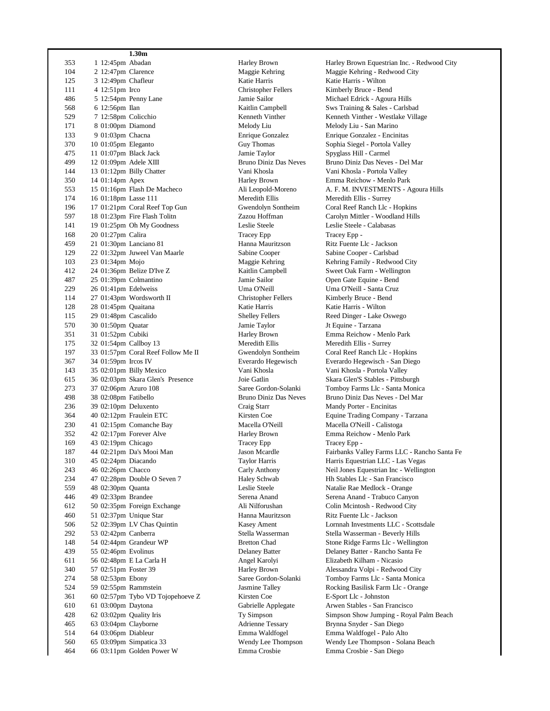|     |                         | 1.30 <sub>m</sub>                |
|-----|-------------------------|----------------------------------|
| 353 | 1 12:45pm Abadan        |                                  |
| 104 | 2 12:47pm Clarence      |                                  |
| 125 | 3 12:49pm Chafleur      |                                  |
| 111 | 4 12:51pm Irco          |                                  |
| 486 |                         | 5 12:54pm Penny Lane             |
| 568 | 6 12:56pm Ilan          |                                  |
| 529 | 7 12:58pm Colicchio     |                                  |
| 171 | 8 01:00pm Diamond       |                                  |
| 133 | 9 01:03pm Chacna        |                                  |
| 370 | 10 01:05pm Eleganto     |                                  |
| 475 | 11 01:07pm Black Jack   |                                  |
| 499 | 12 01:09pm Adele XIII   |                                  |
| 144 |                         | 13 01:12pm Billy Chatter         |
| 350 | 14 01:14pm Apex         |                                  |
| 553 |                         | 15 01:16pm Flash De Macheco      |
| 174 | 16 01:18pm Lasse 111    |                                  |
| 196 |                         | 17 01:21pm Coral Reef Top Gun    |
| 597 |                         | 18 01:23pm Fire Flash Tolitn     |
| 141 |                         | 19 01:25pm Oh My Goodness        |
| 168 | 20 01:27pm Calira       |                                  |
| 459 | 21 01:30pm Lanciano 81  |                                  |
| 129 |                         | 22 01:32pm Juweel Van Maarle     |
| 103 | 23 01:34pm Mojo         |                                  |
| 412 |                         | 24 01:36pm Belize D'Ive Z        |
| 487 | 25 01:39pm Colmantino   |                                  |
| 229 | 26 01:41pm Edelweiss    |                                  |
| 114 |                         | 27 01:43pm Wordsworth II         |
| 128 | 28 01:45pm Quaitana     |                                  |
| 115 | 29 01:48pm Cascalido    |                                  |
| 570 | 30 01:50pm Quatar       |                                  |
| 351 | 31 01:52pm Cubiki       |                                  |
| 175 | 32 01:54pm Callboy 13   |                                  |
| 197 |                         | 33 01:57pm Coral Reef Follow Me  |
| 367 | 34 01:59pm Ircos IV     |                                  |
| 143 |                         | 35 02:01pm Billy Mexico          |
| 615 |                         | 36 02:03pm Skara Glen's Presence |
| 273 | 37 02:06pm Azuro 108    |                                  |
| 498 | 38 02:08pm Fatibello    |                                  |
| 236 | 39 02:10pm Deluxento    |                                  |
| 364 |                         | 40 02:12pm Fraulein ETC          |
| 230 |                         | 41 02:15pm Comanche Bay          |
| 352 |                         | 42 02:17pm Forever Alve          |
| 169 | 43 02:19pm Chicago      |                                  |
| 187 |                         | 44 02:21pm Da's Mooi Man         |
| 310 | 45 02:24pm Diacando     |                                  |
| 243 | 46 02:26pm Chacco       |                                  |
|     |                         | 47 02:28pm Double O Seven 7      |
| 234 | 48 02:30pm Ouanta       |                                  |
| 559 |                         |                                  |
| 446 | 49 02:33pm Brandee      |                                  |
| 612 |                         | 50 02:35pm Foreign Exchange      |
| 460 | 51 02:37pm Unique Star  |                                  |
| 506 |                         | 52 02:39pm LV Chas Quintin       |
| 292 | 53 02:42pm Canberra     |                                  |
| 148 |                         | 54 02:44pm Grandeur WP           |
| 439 | 55 02:46pm Evolinus     |                                  |
| 611 |                         | 56 02:48pm E La Carla H          |
| 340 | 57 02:51pm Foster 39    |                                  |
| 274 | 58 02:53pm Ebony        |                                  |
| 524 | 59 02:55pm Rammstein    |                                  |
| 361 |                         | 60 02:57pm Tybo VD Tojopehoeve   |
| 610 | 61 03:00pm Daytona      |                                  |
| 428 | 62 03:02pm Quality Iris |                                  |
| 465 | 63 03:04pm Clayborne    |                                  |
| 514 | 64 03:06pm Diableur     |                                  |
| 560 |                         | 65 03:09pm Simpatica 33          |
| 464 |                         | 66 03:11pm Golden Power W        |

Katie Harris Katie Harris - Wilton  $1111$   $1111$   $1111$   $1111$   $1111$   $1111$   $1111$   $1111$   $1111$   $1111$   $1111$   $1111$   $1111$   $1111$   $1111$ Jamie Taylor Spyglass Hill - Carmel Meredith Ellis Meredith Ellis - Surrey Tracey Epp Tracey Epp -114 27 01:43pm Wordsworth II Christopher Fellers Kimberly Bruce - Bend Katie Harris Katie Harris - Wilton Jamie Taylor Jt Equine - Tarzana 175 Meredith Ellis 175 Meredith Ellis - Surrey Tracey Epp Tracey Epp -2 Kirsten Coe E-Sport Llc - Johnston

Harley Brown Harley Brown Equestrian Inc. - Redwood City Maggie Kehring Maggie Kehring - Redwood City Jamie Sailor Michael Edrick - Agoura Hills Kaitlin Campbell Sws Training & Sales - Carlsbad Kenneth Vinther Kenneth Vinther - Westlake Village 171 Melody Liu Melody Liu - San Marino Enrique Gonzalez Enrique Gonzalez - Encinitas Guy Thomas Sophia Siegel - Portola Valley Bruno Diniz Das Neves Bruno Diniz Das Neves - Del Mar Vani Khosla <sup>Vani</sup> Khosla - Portola Valley 350 14 01:14pm Apex Harley Brown Emma Reichow - Menlo Park Ali Leopold-Moreno A. F. M. INVESTMENTS - Agoura Hills Gwendolyn Sontheim Coral Reef Ranch Llc - Hopkins Zazou Hoffman Carolyn Mittler - Woodland Hills 141 1915 1914 1915 1914 1915 1914 1915 1916 1917 1918 1919 1914 1915 1916 1917 1918 1919 1919 1919 191 459 21 01:30pm Lanciano 81 Hanna Mauritzson Ritz Fuente Llc - Jackson 129 Sabine Cooper Sabine Cooper - Carlsbad Maggie Kehring Kehring Family - Redwood City Kaitlin Campbell Sweet Oak Farm - Wellington Jamie Sailor **Open Gate Equine - Bend** Uma O'Neill Uma O'Neill - Santa Cruz 115 29 Shelley Fellers Reed Dinger - Lake Oswego 351 31 01:52pm Cubiki Harley Brown Emma Reichow - Menlo Park II Gwendolyn Sontheim Coral Reef Ranch Llc - Hopkins Everardo Hegewisch Everardo Hegewisch - San Diego Vani Khosla <sup>Vani</sup> Khosla - Portola Valley 615 36 02:03pm Skara Glen's Presence Joie Gatlin Skara Glen'S Stables - Pittsburgh Saree Gordon-Solanki Tomboy Farms Llc - Santa Monica Bruno Diniz Das Neves Bruno Diniz Das Neves - Del Mar Craig Starr Mandy Porter - Encinitas  $364$  544  $364$  544  $40$  544  $50$  644  $40$  644  $50$  644  $50$  644  $50$  644  $50$  644  $50$  644  $50$  644  $50$  644  $50$  644  $50$  644  $50$  644  $50$  644  $50$  644  $50$  644  $50$  644  $50$  644  $50$  644  $50$  644  $50$  644  $50$  644  $50$ Macella O'Neill Macella O'Neill - Calistoga 352 42 02:17pm Forever Alve Harley Brown Emma Reichow - Menlo Park Jason Mcardle Fairbanks Valley Farms LLC - Rancho Santa Fe Taylor Harris **1111 1120 1121 1131 1131 1131 1132 1133 114** 12:24 Taylor Harris Equestrian LLC - Las Vegas Carly Anthony Neil Jones Equestrian Inc - Wellington 234 Haley Schwab Hh Stables Llc - San Francisco Leslie Steele Natalie Rae Medlock - Orange Serena Anand Serena Anand - Trabuco Canyon 612 50 02:35pm Foreign Exchange Ali Nilforushan Colin Mcintosh - Redwood City 460 51 02:37pm Unique Star Hanna Mauritzson Ritz Fuente Llc - Jackson Kasey Ament Lornnah Investments LLC - Scottsdale 292 53 02:42pm Canberra Stella Wasserman Stella Wasserman - Beverly Hills 148 Bretton Chad Stone Ridge Farms Llc - Wellington Delaney Batter Delaney Batter - Rancho Santa Fe Angel Karolyi Elizabeth Kilham - Nicasio 340 57 02:51pm Foster 39 Harley Brown Alessandra Volpi - Redwood City Saree Gordon-Solanki Tomboy Farms Llc - Santa Monica Jasmine Talley Rocking Basilisk Farm Llc - Orange Gabrielle Applegate Arwen Stables - San Francisco Ty Simpson Simpson Show Jumping - Royal Palm Beach Adrienne Tessary Brynna Snyder - San Diego 514 64 03:06pm Diableur Emma Waldfogel Emma Waldfogel - Palo Alto Wendy Lee Thompson Wendy Lee Thompson - Solana Beach 464 66 03:11pm Golden Power W Emma Crosbie Emma Crosbie - San Diego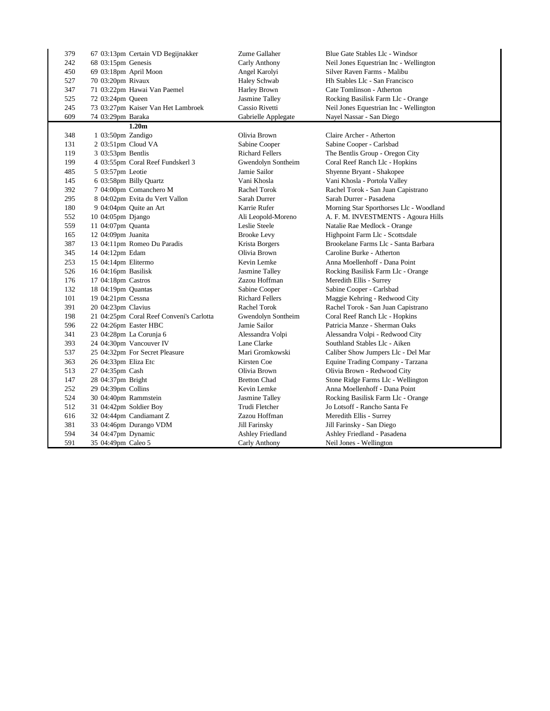| 379 | 67 03:13pm Certain VD Begijnakker        | Zume Gallaher          | Blue Gate Stables Llc - Windsor         |
|-----|------------------------------------------|------------------------|-----------------------------------------|
| 242 | 68 03:15pm Genesis                       | Carly Anthony          | Neil Jones Equestrian Inc - Wellington  |
| 450 | 69 03:18pm April Moon                    | Angel Karolyi          | Silver Raven Farms - Malibu             |
| 527 | 70 03:20pm Rivaux                        | Haley Schwab           | Hh Stables Llc - San Francisco          |
| 347 | 71 03:22pm Hawai Van Paemel              | Harley Brown           | Cate Tomlinson - Atherton               |
| 525 | 72 03:24pm Queen                         | Jasmine Talley         | Rocking Basilisk Farm Llc - Orange      |
| 245 | 73 03:27pm Kaiser Van Het Lambroek       | Cassio Rivetti         | Neil Jones Equestrian Inc - Wellington  |
| 609 | 74 03:29pm Baraka                        | Gabrielle Applegate    | Nayel Nassar - San Diego                |
|     | 1.20 <sub>m</sub>                        |                        |                                         |
| 348 | 1 03:50pm Zandigo                        | Olivia Brown           | Claire Archer - Atherton                |
| 131 | 2 03:51pm Cloud VA                       | Sabine Cooper          | Sabine Cooper - Carlsbad                |
| 119 | 3 03:53pm Bentlis                        | <b>Richard Fellers</b> | The Bentlis Group - Oregon City         |
| 199 | 4 03:55pm Coral Reef Fundskerl 3         | Gwendolyn Sontheim     | Coral Reef Ranch Llc - Hopkins          |
| 485 | 5 03:57pm Leotie                         | Jamie Sailor           | Shyenne Bryant - Shakopee               |
| 145 | 6 03:58pm Billy Quartz                   | Vani Khosla            | Vani Khosla - Portola Valley            |
| 392 | 7 04:00pm Comanchero M                   | Rachel Torok           | Rachel Torok - San Juan Capistrano      |
| 295 | 8 04:02pm Evita du Vert Vallon           | Sarah Durrer           | Sarah Durrer - Pasadena                 |
| 180 | 9 04:04pm Quite an Art                   | Karrie Rufer           | Morning Star Sporthorses Llc - Woodland |
| 552 | 10 04:05pm Django                        | Ali Leopold-Moreno     | A. F. M. INVESTMENTS - Agoura Hills     |
| 559 | 11 04:07pm Quanta                        | Leslie Steele          | Natalie Rae Medlock - Orange            |
| 165 | 12 04:09pm Juanita                       | <b>Brooke Levy</b>     | Highpoint Farm Llc - Scottsdale         |
| 387 | 13 04:11pm Romeo Du Paradis              | Krista Borgers         | Brookelane Farms Llc - Santa Barbara    |
| 345 | 14 04:12pm Edam                          | Olivia Brown           | Caroline Burke - Atherton               |
| 253 | 15 04:14pm Elitermo                      | Kevin Lemke            | Anna Moellenhoff - Dana Point           |
| 526 | 16 04:16pm Basilisk                      | Jasmine Talley         | Rocking Basilisk Farm Llc - Orange      |
| 176 | 17 04:18pm Castros                       | Zazou Hoffman          | Meredith Ellis - Surrey                 |
| 132 | 18 04:19pm Quantas                       | Sabine Cooper          | Sabine Cooper - Carlsbad                |
| 101 | 19 04:21pm Cessna                        | <b>Richard Fellers</b> | Maggie Kehring - Redwood City           |
| 391 | 20 04:23pm Clavius                       | <b>Rachel Torok</b>    | Rachel Torok - San Juan Capistrano      |
| 198 | 21 04:25pm Coral Reef Conveni's Carlotta | Gwendolyn Sontheim     | Coral Reef Ranch Llc - Hopkins          |
| 596 | 22 04:26pm Easter HBC                    | Jamie Sailor           | Patricia Manze - Sherman Oaks           |
| 341 | 23 04:28pm La Corunja 6                  | Alessandra Volpi       | Alessandra Volpi - Redwood City         |
| 393 | 24 04:30pm Vancouver IV                  | Lane Clarke            | Southland Stables Llc - Aiken           |
| 537 | 25 04:32pm For Secret Pleasure           | Mari Gromkowski        | Caliber Show Jumpers Llc - Del Mar      |
| 363 | 26 04:33pm Eliza Etc                     | Kirsten Coe            | Equine Trading Company - Tarzana        |
| 513 | 27 04:35pm Cash                          | Olivia Brown           | Olivia Brown - Redwood City             |
| 147 | 28 04:37pm Bright                        | <b>Bretton Chad</b>    | Stone Ridge Farms Llc - Wellington      |
| 252 | 29 04:39pm Collins                       | Kevin Lemke            | Anna Moellenhoff - Dana Point           |
| 524 | 30 04:40pm Rammstein                     | Jasmine Talley         | Rocking Basilisk Farm Llc - Orange      |
| 512 | 31 04:42pm Soldier Boy                   | Trudi Fletcher         | Jo Lotsoff - Rancho Santa Fe            |
| 616 | 32 04:44pm Candiamant Z                  | Zazou Hoffman          | Meredith Ellis - Surrey                 |
| 381 | 33 04:46pm Durango VDM                   | Jill Farinsky          | Jill Farinsky - San Diego               |
| 594 | 34 04:47pm Dynamic                       | Ashley Friedland       | Ashley Friedland - Pasadena             |
| 591 | 35 04:49pm Caleo 5                       | Carly Anthony          | Neil Jones - Wellington                 |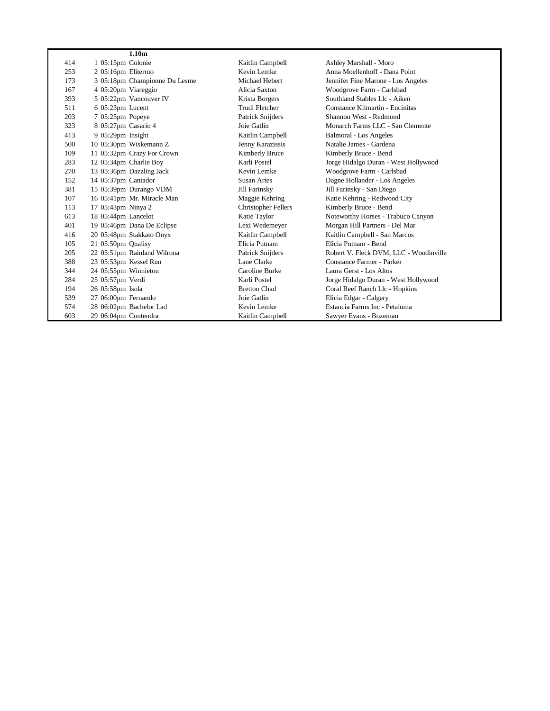|     |                       | 1.10 <sub>m</sub>             |                            |                                        |
|-----|-----------------------|-------------------------------|----------------------------|----------------------------------------|
| 414 | 1 05:15pm Colonie     |                               | Kaitlin Campbell           | Ashley Marshall - Moro                 |
| 253 | 2 05:16pm Elitermo    |                               | Kevin Lemke                | Anna Moellenhoff - Dana Point          |
| 173 |                       | 3 05:18pm Championne Du Lesme | Michael Hebert             | Jennifer Fine Marone - Los Angeles     |
| 167 | 4 05:20pm Viareggio   |                               | Alicia Saxton              | Woodgrove Farm - Carlsbad              |
| 393 |                       | 5 05:22pm Vancouver IV        | Krista Borgers             | Southland Stables Llc - Aiken          |
| 511 | 6 05:23pm Lucent      |                               | Trudi Fletcher             | Constance Kilmartin - Encinitas        |
| 203 | 7 05:25pm Popeye      |                               | Patrick Snijders           | Shannon West - Redmond                 |
| 323 | 8 05:27pm Casario 4   |                               | Joie Gatlin                | Monarch Farms LLC - San Clemente       |
| 413 | 9 05:29pm Insight     |                               | Kaitlin Campbell           | <b>Balmoral - Los Angeles</b>          |
| 500 |                       | 10 05:30pm Wiskemann Z        | Jenny Karazissis           | Natalie James - Gardena                |
| 109 |                       | 11 05:32pm Crazy For Crown    | Kimberly Bruce             | Kimberly Bruce - Bend                  |
| 283 |                       | 12 05:34pm Charlie Boy        | Karli Postel               | Jorge Hidalgo Duran - West Hollywood   |
| 270 |                       | 13 05:36pm Dazzling Jack      | Kevin Lemke                | Woodgrove Farm - Carlsbad              |
| 152 | 14 05:37pm Cantador   |                               | Susan Artes                | Dagne Hollander - Los Angeles          |
| 381 |                       | 15 05:39pm Durango VDM        | Jill Farinsky              | Jill Farinsky - San Diego              |
| 107 |                       | 16 05:41pm Mr. Miracle Man    | Maggie Kehring             | Katie Kehring - Redwood City           |
| 113 | 17 05:43pm Ninya 2    |                               | <b>Christopher Fellers</b> | Kimberly Bruce - Bend                  |
| 613 | 18 05:44pm Lancelot   |                               | Katie Taylor               | Noteworthy Horses - Trabuco Canyon     |
| 401 |                       | 19 05:46pm Dana De Eclipse    | Lexi Wedemeyer             | Morgan Hill Partners - Del Mar         |
| 416 |                       | 20 05:48pm Stakkato Onyx      | Kaitlin Campbell           | Kaitlin Campbell - San Marcos          |
| 105 | 21 05:50pm Qualisy    |                               | Elicia Putnam              | Elicia Putnam - Bend                   |
| 205 |                       | 22 05:51pm Rainland Wilrona   | Patrick Snijders           | Robert V. Fleck DVM, LLC - Woodinville |
| 388 | 23 05:53pm Kessel Run |                               | Lane Clarke                | Constance Farmer - Parker              |
| 344 | 24 05:55pm Winnietou  |                               | Caroline Burke             | Laura Gerst - Los Altos                |
| 284 | 25 05:57pm Verdi      |                               | Karli Postel               | Jorge Hidalgo Duran - West Hollywood   |
| 194 | 26 05:58pm Isola      |                               | <b>Bretton Chad</b>        | Coral Reef Ranch Llc - Hopkins         |
| 539 | 27 06:00pm Fernando   |                               | Joie Gatlin                | Elicia Edgar - Calgary                 |
| 574 |                       | 28 06:02pm Bachelor Lad       | Kevin Lemke                | Estancia Farms Inc - Petaluma          |
| 603 | 29 06:04pm Contendra  |                               | Kaitlin Campbell           | Sawyer Evans - Bozeman                 |